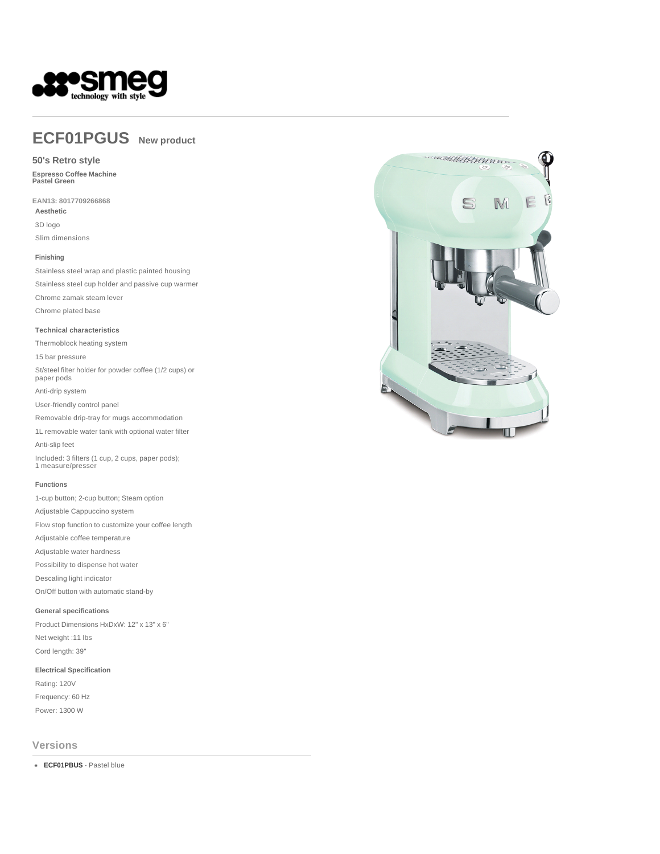

# **ECF01PGUS New product**

## **50's Retro style**

**Espresso Coffee Machine Pastel Green** 

**EAN13: 8017709266868 Aesthetic** 3D logo Slim dimensions

#### **Finishing**

Stainless steel wrap and plastic painted housing Stainless steel cup holder and passive cup warmer Chrome zamak steam lever Chrome plated base

#### **Technical characteristics**

Thermoblock heating system 15 bar pressure St/steel filter holder for powder coffee (1/2 cups) or paper pods Anti-drip system User-friendly control panel Removable drip-tray for mugs accommodation 1L removable water tank with optional water filter Anti-slip feet Included: 3 filters (1 cup, 2 cups, paper pods); 1 measure/presser

#### **Functions**

1-cup button; 2-cup button; Steam option Adjustable Cappuccino system Flow stop function to customize your coffee length Adjustable coffee temperature Adjustable water hardness Possibility to dispense hot water Descaling light indicator On/Off button with automatic stand-by

## **General specifications**

Product Dimensions HxDxW: 12" x 13" x 6" Net weight :11 lbs Cord length: 39"

## **Electrical Specification**

Rating: 120V Frequency: 60 Hz Power: 1300 W

## **Versions**

**ECF01PBUS** - Pastel blue